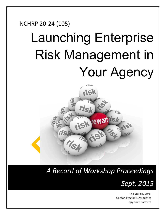# NCHRP 20-24 (105) Launching Enterprise Risk Management in Your Agency



*A Record of Workshop Proceedings* 



The StarIsis, Corp. Gordon Proctor & Associates Spy Pond Partners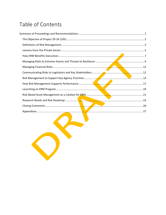# Table of Contents

| the contract of the contract of the contract of<br>the contract of the contract of the contract of the contract of the contract of |  |
|------------------------------------------------------------------------------------------------------------------------------------|--|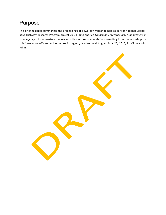# Purpose

This briefing paper summarizes the proceedings of a two-day workshop held as part of National Cooperative Highway Research Program project 20-24 (105) entitled *Launching Enterprise Risk Management in Your Agency*. It summarizes the key activities and recommendations resulting from the workshop for chief executive officers and other senior agency leaders held August  $24 - 25$ , 2015, in Minneapolis, Minn.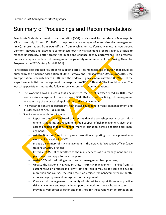

# Summary of Proceedings and Recommendations

Twenty-six State department of transportation (DOT) officials met for two days in Minneapolis, Minn., over July 24 and 25, 2015, to explore the advantages of enterprise risk management (ERM). Presentations from DOT officials from Washington, California, Minnesota, New Jersey, Vermont, Nevada and elsewhere summarized how risk management prepares agency officials to manage uncertainty, better protect the public and enhance agency performance. The presentations also emphasized how risk management helps satisfy requirements of the Moving Ahead for Progress in the  $21<sup>st</sup>$  Century Act (MAP-21).

Participants also outlined key steps to support States' risk management evolution that could be pursued by the American Association of State Highway and Transportation Officials (AASHTO), the Transportation Research Board (TRB), and the Federal Highway Administration (FHWA). These steps form an initial risk management roadmap that AASHTO, TRB, and FHWA could pursue. The workshop participants noted the following conclusions and recommendations:

- The workshop was a success that documented the **benefits** experienced by DOTs that practice risk management. It also exposed DOTs that are not practicing risk management to a summary of the practical applications of risk management.
- The workshop convinced participants that States could benefit from risk management and it is deserving of AASHTO support.
- Specific recommendations included:
	- Report to the **AASHTO** Board of Directors that the workshop was a success, document its benefits, and recommend their support of risk management, given their earlier position that they needed more information before endorsing risk management;
	- Ask the Board of Directors to pass a resolution supporting risk management as a worthwhile practice for DOTs;
	- Include a summary of risk management in the new Chief Executive Officer (CEO) training AASHTO provides;
		- Introduce **AASHTO** committees to the many benefits of risk management and explain how it can apply to their disciplines;
	- Assist DOTs with adopting enterprise risk management best practices;
	- Update the National Highway Institute (NHI) risk management training from its current focus on projects and FHWA-defined risks. It may be advisable to develop more than one course. One could focus on project risk management while another focus on program and enterprise risk management.
	- Create a risk management community of interest to support those who practice risk management and to provide a support network for those who want to start;
	- Provide a web portal or other one-stop-shop for those who want information on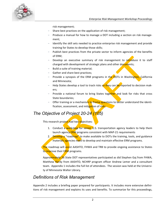

risk management;

- Share best practices on the application of risk management;
- Produce a manual for how to manage a DOT including a section on risk management;
- Identify the skill sets needed to practice enterprise risk management and provide training for States to develop those skills;
- Publish best practices from the private sector to inform agencies of the benefits of ERM;
- Develop an executive summary of risk management to introduce it to staff charged with development of strategic plans and other documents;
- Build a suite of training material;
- Gather and share best practices;
- Provide a synopsis of the ERM programs in the DOTs in Washington, California and Minnesota:
- Help States develop a tool to track risks so they can be reported to decision makers;
- Provide a national forum to bring States together and look for risks that cross State boundaries:
- Offer training or a mechanism to frame questions to better understand the identification, assessment, and mitigation of risks.

#### *The Objective of Project 20-24 (105)*

This research project had two objectives:

- 1. Conduct a workshop for senior U.S. transportation agency leaders to help them launch agency ERM programs consistent with MAP-21 requirements
- 2. Develop a "roadmap" to make available to DOTs the training, tools, and guidance materials agencies need to develop and maintain effective ERM programs.

The roadmap will assist AASHTO, FHWA and TRB to provide ongoing assistance to States to *improve* their ERM programs.

Approximately 26 State DOT representatives participated as did Stephen Gaj from FHWA, Matthew Hardy from AASHTO, NCHRP program officer Andrew Lemer and a consultant team. Appendix 1 includes the full list of attendees. The session was held at the University of Minnesota Walter Library.

#### *Definitions of Risk Management*

Appendix 2 includes a briefing paper prepared for participants. It includes more extensive definitions of risk management and explains its uses and benefits. To summarize for this proceedings,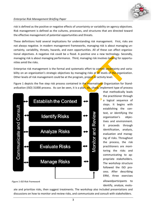

#### *Enterprise Risk Management Briefing Paper*

risk is defined as the positive or negative effects of uncertainty or variability on agency objectives. Risk management is defined as the cultures, processes, and structures that are directed toward the effective management of potential opportunities and threats.

These definitions hold several implications for understanding risk management. First, risks are not always negative. In modern management frameworks, managing risk is about managing uncertainty, variability, threats, hazards, and even opportunities. All of these can affect organizational objectives. A negative risk could be a flood. A positive one a new technology. Secondly, managing risk is about managing performance. Third, managing risk involves looking for opportunities amid the risks.

Enterprise risk management is the formal and systematic effort to control uncertainty and variability on an organization's strategic objectives by managing risks at all levels of the organization. Other levels of risk management could be at the program, project or activity level.

Figure 1 depicts the five step risk process contained in the International Organization for Standardization (ISO) 31000 process. As can be seen, it is a plan,  $d\sigma$ , check, implement type of process



*Figure 1-ISO Risk Framework*

ate and prioritize risks, then suggest treatments. The workshop also included presentations and discussions on how to monitor and review risks, and communicate and consult with stakeholders.

that methodically leads the practitioner through a logical sequence of steps. It begins with establishing the context, or identifying the organization's objectives and environment. It proceeds through identification, analysis, evaluation and managing of risks. Throughout the process, the risk practitioners are monitoring the risks and communicating to appropriate stakeholders. The workshop structure followed the ISO process. After describing ERM, three exercises allowedparticipants to identify, analyze, evalu-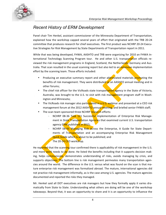

#### *Recent History of ERM Development*

Panel chair Tim Henkel, assistant commissioner of the Minnesota Department of Transportation, explained how the workshop capped several years of effort that originated with the TRB 20-24 committee that produces research for chief executives. The first product was NCHRP 20-24 Executive Strategies for Risk Management by State Departments of Transportation report in 2011.

While that was being developed, FHWA, AASHTO and TRB were organizing for 2010 an FHWA International Technology Scanning Program tour. He and other U.S. transportation officials reviewed the risk management programs in England, Scotland, the Netherlands, Germany and Australia. That scan resulted in the usual scanning report but also led to an *extensive* implementation effort by the scanning team. Those efforts included:

- Producing an executive summary report and other abbreviated materials promoting the benefits of risk management. They were distributed at an AASHTO annual meeting and in other forums;
- The chief risk officer for the VicRoads state transportation agency in the State of Victoria, Australia, was brought to the U.S. to visit with risk management program staff in Washington and Minnesota;
- The VicRoads risk manager also participated in a U.S. webinar and presented at a CEO risk management forum at the 2012 AASHTO annual meeting, and briefed senior FHWA staff;
- The scan team sponsored three NCHRP research efforts:
	- NCHRP 08-36 Task 121 Successful Implementation of Enterprise Risk Management in State Transportation Agencies that examined current U.S. transportation agency ERM published in 2015;
	- NCHRP 08-93 Managing Risk Across the Enterprise, A Guide for State Departments of Transportation and an accompanying Enterprise Risk Management Quick Guide which is about to be published; and
		- The 20-24 CEO workshop.

He reported that the scanning tour confirmed there is applicability of risk management in the U.S. and more work needs to be done. He listed the benefits including that it supports decision making, helps communicate, demonstrates understanding of risks, avoids managing by crisis, and supports objectives. The bottom line is risk management permeates many transportation agencies around the world. The difference in the U.S. versus what was found on the scan is that mature enterprise risk management was formalized abroad. The mature, international agencies did not practice risk management informally, as is the case among U.S. agencies. The mature agencies documented and reported the risks they managed.

Mr. Henkel said all DOT executives are risk managers but how they formally apply it varies dramatically from State to State. Understanding what others are doing will be one of the workshop takeaways. Beyond that, it was an opportunity to share and it is an opportunity to influence the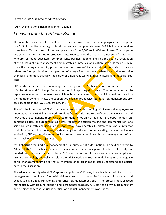AASHTO and national risk management agenda.

#### *Lessons from the Private Sector*

The keynote speaker was Kristen Rebertus, the chief risk officer for the large agricultural cooperative CHS. It is a diversified agricultural cooperative that generates over \$42.7 billion in annual income from 65 countries, It in recent years grew from 5,000 to 11,000 employees. The cooperative serves farmers and other producers. Ms. Rebertus said the board is comprised of 17 farmers who are self-made, successful, common-sense business people. She said the board's recognition of the success of risk management demonstrates its practical application. Key risks facing CHS include fluctuating commodity prices that can hurt farmers' income, critical food-safety concerns related to food production, the operating of a large fleet that hauls ethanol and other sensitive chemicals, and most critically, the safety of employees working in agricultural and industrial settings.

CHS started an enterprise risk management program in  $2010$  because of a requirement by the U.S. Securities and Exchange Commission for full reporting disclosures. The cooperative had to report to its members the extent to which its board manages its risks, which would be shared by the member owners. Now, the cooperative has comprehensive, iterative risk management process based upon the ISO 31000 framework.

She said the foundation of ERM is risk awareness and *understanding*. CHS wants all employees to understand the CHS risk framework, to identify their risks and to clarify who owns each risk and how they are to manage them. CHS tries to identify not only threats but also opportunities. Understanding risks and opportunities allows for better decision making and communication. She said through mostly acquisitions, the cooperative now operates 14 different business units that could function as silos. However, by identifying key risks and communicating them across the organization, CHS communicates **across** its silos and better coordinates both its management of risk and its achievement of objectives.

Ms. Rebertus described risk management as a journey, not a destination. She said she refers to "stealth ERM" by which she means risk management is a not a separate function but deeply embedded into the organization's culture. CHS wants a culture of risk awareness where employees use risk terminology and risk controls in their daily work. She recommended keeping the language of risk management simple so that all members of an organization could understand and participate in the discussion.

She advocated for high-level ERM sponsorship. In the CHS case, there is a board of directors risk management committee. Even with high-level support, an organization cannot flip a switch and expect to have a fully functioning enterprise risk management effort. The process must proceed methodically with training, support and incremental progress. CHS started slowly by training staff and helping them conduct risk-identification and risk-management workshops.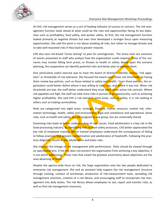

At CHS, risk management serves as a sort of leading indicator of success or concern. The risk management function looks ahead at what could be the risks and opportunities facing its key objectives such as profitability, food safety, and worker safety. At first, the risk management function looked primarily at negative threats but over time developed a stronger focus upon measuring opportunities. She said the point is not about avoiding all risks, but rather to manage threats and to take well-reasoned risks if they lead to greater rewards.

CHS also uses risk-based "stress testing" to plan for contingencies. The stress tests are scenarios of events presented to staff who analyze how the organization could respond. Some of the scenarios may involve falling farm prices, or threats to health or safety. Based upon the scenario planning, the cooperative can identify potential risks and better plan to address them.

One particularly useful exercise was to have the board of directors identify various "risk appetites" or thresholds of risk tolerance. She focused the board upon these risk thresholds by having them review key policies, such as those related to safety and health. From those policies, the organization could better define where it was willing to take risks, and where it was not. When risk thresholds are low, the staff better understand they must exert more active risk controls. Where risk appetites are high, the staff can take more risks in pursuit of an opportunity, such as achieving higher profitability. She said CHS is risk averse is some areas, such as safety. It is risk seeking in others such as trading commodities.

Risks are categorized into eight areas: strategic, financial, human resource, market risk, information technology, health, safety and environment, legal and compliance and operational. Some risks, such as health and safety, are not assigned to one group, but are universally shared.

Examining risks leads to better understanding of root causes. Food adulteration is a key risk in the food-processing industry. By identifying risks to food-safety processes, CHS better appreciated the key role of employee training. Better trained employees understand the consequences of failing to follow practices that prevent contamination and adulteration of foodstuffs. Following the practices diligently, results in less adulteration and lower risks.

She stressed the linkage of risk management with performance. Risks should be viewed through an operational lens. If the risk does not prevent the organization from achieving a key objective, it is not worth **addressing.** Those risks that create the greatest uncertainty about objectives are the ones deserving of focus.

Despite the agency-wide focus on risk, the large organization only has two people dedicated to enterprise risk management. She and an assistant help support the risk management structure through training, conduct of workshops, production of risk-measurement tools, spreading risk management practices, creation of a risk library, and encouraging staff to incorporate risk management into daily duties. The risk library allows employees to see, report and monitor risks, as well as find risk management resources.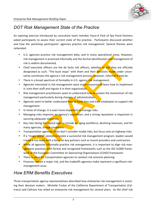

## *DOT Risk Management State of the Practice*

An opening exercise introduced by consultant team member Hyun-A Park of Spy Pond Partners asked participants to assess their current state of the practice. Participants discussed whether and how the workshop participants' agencies practice risk management. Several themes were reiterated:

- U.S. agencies practice risk management daily, and in many operational areas. However, risk management is practiced informally and the formal identification and management of risk is seldom documented.
- Chief executive officers are the de facto risk officers, whether or not they are officially designated as such. "The buck stops" with them and their decisions made under uncertainty constitutes the agency's risk management process, however, informal it may be.
- There is a broad spectrum of formality in U.S. agency risk management.
- Agencies interested in risk management want more resources to learn how to implement it, train their staff and ingrain it in their organization.
- Risk management practitioners want to understand how to sustain the momentum of risk management particularly during changes of administration.
- Agencies want to better understand how to fund, hire and train employees to support risk management.
- In times of change, it is even more important to manage risks.
- Managing risks improves an agency's reputation, and a strong reputation is important in securing adequate resources.
- Key risks facing the typical agency include an aging workforce, declining revenues, and for many agencies, bridge conditions.
- Transportation agencies often don't consider modal risks, but focus only on highway risks.
- If a "magic wand" existed to create a successful risk management program, leaders would create a risk team with a focus on key partners such as transit providers and contractors.
- While all agencies informally practice risk management, it is important to align risk management practices with formal and recognized frameworks such as the ISO 31000 framework or the European Committee on Sponsoring Organizations (COSO) framework.
- There is value for transportation agencies to conduct risk scenario planning.
- Finances remain a major risk, and the tradeoffs agencies make represent a significant riskmanagement issue.

#### *How ERM Benefits Executives*

Three transportation agency representatives described how enterprise risk management is assisting their decision makers. Michelle Tucker of the California Department of Transportation (Caltrans) said Caltrans has relied on enterprise risk management for several years. As the chief risk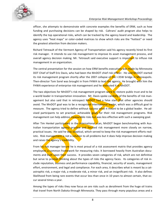

officer, she attempts to demonstrate with concrete examples the benefits of ERM, such as how funding and purchasing decisions can be shaped by risk. Caltrans' audit program also helps to identify the top operational risks, which can be tracked by the agency board and leadership. The agency uses "heat maps" or color-coded matrices to show which risks are the "hottest" or need the greatest attention from decision makers.

Richard Tetreault of the Vermont Agency of Transportation said his agency recently hired its first risk manager. It intends to use risk management to improve its asset management process, and overall agency decision making. Mr. Tetreault said executive support is important to influse risk management in an organization.

The central presentation for the session on how ERM benefits executives was made by Minnesota DOT Chief of Staff Eric Davis, who had been the MnDOT chief risk officer. He said MnDOT started its risk management program shortly after the 2007 collapse of the I-35W bridge in Minneapolis. Then-director Tom Sorel was brought in from FHWA to lead the agency. He brought with him the FHWA experience of enterprise risk management and he instituted it at MnDOT.

The two objectives for MnDOT's risk management program were to restore public trust and to be a world leader in transportation innovation. Mr. Davis spoke candidly of the benefits of risk management but also said that in retrospect MnDOT had a false start that other agencies should avoid. The MnDOT goal was to be a recognized international leader, which was a difficult goal to measure. The agency tried to define without success what it meant to be a global leader. He advised participants to set practical, achievable **goals** for their risk management programs. Risk management can help address measurable risks but was less effective with such a sweeping goal.

After Tim Henkel participated in the international scan, MnDOT began benchmarking with Australian transportation agency practice and focused risk management more closely on narrow, practical issues. He said he was skeptical, which served to keep the risk management efforts realistic. Risk management is not a solution to all problems but it does help improve decision making and raises the agency's credibility.

From his risk manager tenure he is most proud of a risk assessment matrix that provides agency employees a common framework for measuring risks. It borrowed heavily from Australian documents and built upon their success. It provides seven categories of risk, which are not definitive but serve to prompt thinking about the types of risks the agency faces. Its categories of risk include reputation, business and performance capability, financial, security of assets, management effort, environment, and legal and compliance. For each area, it describes what is meant by a catastrophic risk, a major risk, a moderate risk, a minor risk, and an insignificant risk. It also defines likelihood from being rare events that occur less than once in 10 years to almost certain, that occur several times a year.

Among the types of risks they now focus on are risks such as derailment from the huge oil trains that travel from North Dakota through Minnesota. They pass through many populous areas and a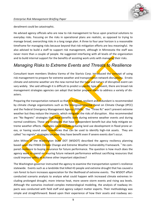derailment could be catastrophic.

He advised agency officials who are new to risk management to focus upon practical solutions to everyday risks. Focusing on the risks in operational plans are realistic, as opposed to trying to manage broad, overarching risks in a long range plan. A three to four year horizon is a reasonable timeframe for managing risks because beyond that risk mitigation efforts are less meaningful. He also advised to build a staff to support risk management, although in Minnesota the staff was never more than a couple of people. He suggested interfacing with all levels of the organization and to build internal support for the benefits of assisting work units with managing their risks.

#### *Managing Risks to Extreme Events and Threats to Resilience*

Consultant team members Shobna Varma of the StarIsis Corp. introduced the concept of using risk management to prepare for extreme weather and transportation network disruptions. Erratic climate and extreme weather are the new normal but the type and nature of disruptive event can vary widely. She said although it is difficult to predict a specific type of event, there are broad risk management strategies agencies can adopt that better prepare them to address a variety of disasters.

Preparing the transportation network so that it is robust, resilient and redundant is recommended by climate change organizations such as the Intergovernmental Panel on Climate Change (IPCC) and the Federal Emergency Management Agency (FEMA). The "Three Rs" won't prevent extreme weather but they reduce the impacts, which mitigates the risks of disruption. Also recommended are "No Regrets" strategies that have benefits both during extreme weather events and during normal conditions. These are strategies that have independent benefit but also help mitigate extreme weather effects. Examples could include reducing land use development in flood prone areas, or having sound asset inventories that can be used to identify high-risk assets. They are called "no regrets" strategies because they have benefit even if severe events don't occur.

John Milton of the Washington State DOT (WSDOT) described the agency resiliency planning based upon the FHWA Climate Change and Extreme Weather Vulnerability Framework.<sup>1</sup> He compared resilience to buying insurance for future performance. The question is how much does the agency want to spend on insuring future network performance without sacrificing resources that could improve safety or achieve other important objectives?

The Washington governor instructed the agency to examine the transportation system's resilience statewide. Events such as a landslide that killed 43 people and extreme drought that has caused a rain forest to burn increases appreciation for the likelihood of extreme events. The WSDOT effort conducted scenario analysis to analyze what could happen with increased climate extremes including prolonged drought, more intense heat, more severe storm events and rising sea levels. Although the scenarios involved complex meteorological modeling, the analysis of roadway impacts was conducted with field staff and agency subject matter experts. Their methodology was simple and straightforward. Based upon their experience of how their assets and roadway sec-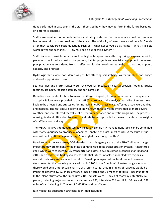

tions performed in past events, the staff theorized how they may perform in the future based upon different scenarios.

Staff were provided common definitions and rating scales so that the analysis would be comparable between districts and regions of the state. The criticality of assets was rated on a 1-10 scale after they considered basic questions such as, "What keeps you up at night?" "What if it gets worse (given the scenario)?" "How resilient is our existing system?"

Staff discussed possible impacts such as higher temperatures affecting bridge expansion joints, pavements, rail tracks, construction periods, habitat projects and electrical equipment. Increased precipitation was considered from its effect on flooding roads and tunnels, road washouts, pump capacity and drainage.

Hydrologic shifts were considered as possibly affecting soil stability, water supplies, and bridge and road support structures.

Sea level rise and storm surges were reviewed for impacts on coastal erosion, flooding, bridge footings, drainage, roadside stability and salt corrosion.

Definitions and scales for how to measure different impacts, from minor impacts to complete catastrophic failure, were provided to the staff. The product of the analysis was a list of assets most likely to be affected and strategies for improving network resilience. Affected assets were ranked and mapped. The risk analysis identified how known threats will be intensified by more severe weather, and it reinforced the value of current maintenance and retrofit programs. The process of using field and office staff to identify and rate hazards provided a means to capture the insights of staff in a practical way.

The WSDOT analysis demonstrated how relatively simple risk management tools can be combined with staff experience to produce a meaningful analysis of assets most at risk. A measure of success will be if in 50 years, people say, "I'm so glad they thought of this."

David Kuhn of the New Jersey DOT also described his agency's use of the FHWA climate change impact **framework** to identify the State's climatic risks to its transportation system. It had three goals which were to identify key transportation assets, develop climatic scenarios for 2050 and 2100, and overlay the findings to assess potential future impacts. It modeled two regions, a coastal study area and an inland corridor. Based upon expected sea level rise and increased storm severity, the modeling indicated that in 2100 in the "medium" climate change scenario there would be a 1 meter sea level rise with storm surge, that 48.5 miles of roadway would be impacted potentially, 2.9 miles of transit lines affected and 31 miles of total rail lines inundated. In the inland study area, the "medium" 2100 impacts were 81 miles of roadway potentially impacted, including major routes such as Interstate 295, Interstate 276 and U.S. 130. As well, 138 miles of rail including 11.7 miles of AMTRK would be affected.

Risk-mitigating adaptation strategies identified included: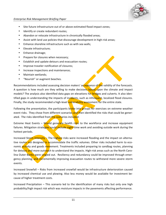

- Site future infrastructure out of or above estimated flood impact zones;
- Identify or create redundant routes;
- Abandon or relocate infrastructure in chronically flooded areas;
- Assist with land use policies that discourage development in high-risk areas;
- Enhance shoreline infrastructure such as with sea walls;
- Elevate infrastructure:
- Enhance drainage;
- Prepare for closures when necessary;
- Establish and update detours and evacuation routes;
- Improve traveler notification of closures;
- Increase inspections and maintenance;
- Maintain wetlands;
- "Nourish" or augment beaches.

Recommendations included assessing decision makers' acceptance of the validity of the forecasts. A question is how much are they willing to make decisions based upon the climate and impact models? The analysis also identified data gaps on elevations for bridges and culverts. It also identified gaps in understanding the impacts of incidents, such as infrequent, localized flood closures. Finally, the study recommended a high-level **vulnerability** assessment for the entire state.

Following the presentation, the participants broke into groups for exercises on extreme weather event risks. They chose from different scenarios and then identified the risks that could be generated. The risks identified from the scenarios included:

Extreme Heat Events – Would generate health risks to the workforce and increase equipment failures. Mitigation strategies could include night-time work and avoiding outside work during the hottest periods.

Increased Storm Intensity – The highest risks were increased flooding and the impact on alternative routes not designed to accommodate the traffic volumes. Other risks included harm to economic **activity** and goods movement. Treatments included preparing to sandbag routes, planning for detours and more outreach to understand the impacts. High-risk areas such as the North Carolina Outer Banks were singled out. Resiliency and redundancy could be improved through emergency planning, and incrementally improving evacuation routes to withstand more severe storm events.

Increased Snowfall – Risks from increased snowfall would be infrastructure deterioration caused by increased chemical use and plowing. Also less money would be available for investment because of higher treatment costs.

Increased Precipitation - This scenario led to the identification of many risks but only one high probability/high impact risk which was moisture impacts in the pavements affecting performance.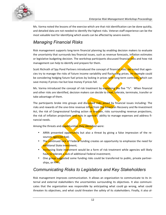

Ms. Varma noted the lessons of the exercise which are that risk identification can be done quickly, and detailed data are not needed to identify the highest risks. Veteran staff experience can be the most valuable tool for identifying which assets can be affected by severe events.

## *Managing Financial Risks*

Risk management supports long-term financial planning by enabling decision makers to evaluate the uncertainty that surrounds key financial issues, such as revenue forecasts, inflation estimates or legislative budgeting decision. The workshop participants discussed financial risks and how risk management can help to identify and prepare for them.

Scott Richrath of Spy Pond Partners introduced the concept of financial risks. He noted that agencies try to manage the risks of future income variability and fluctuating prices. An example could be considering hedging future fuel prices by locking in prices with long-term contracts, which can save money if prices rise but lose money if prices fall.

Ms. Varma introduced the concept of risk treatment by explaining the five "Ts". When financial and other risks are identified, decision makers can decide to treat, tolerate, terminate, transfer or take advantage of them.

The participants broke into groups and discussed risks posed by financial issues including: The risks and rewards of the one-time revenue influx from the American Recovery and Re-Investment Act, the risk of Congressional funding action or inaction, risks surrounding revenue projections, the risk of inflation projections and risks in agencies' ability to manage expenses and address financial needs.

Among the threats and opportunities they identified were:

- ARRA presented opportunity but also a threat by giving a false impression of the resources agencies had;
- The continued lack of Federal funding creates an opportunity to emphasize the need for additional State investment;
- Increasing State investment would be a form of risk treatment while agencies will likely have to tolerate a lack of additional Federal investment;
- One group suggested some funding risks could be transferred to public, private partnerships, or PPPs.

#### *Communicating Risks to Legislators and Key Stakeholders*

Risk management improves communication. It allows an organization to communicate to its internal and external stakeholders the uncertainties surrounding its objectives. It also communicates that the organization was responsible by anticipating what could go wrong, what could threaten its objectives, and what could threaten the safety of its stakeholders. Finally, it also al-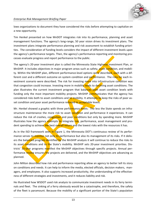

lows organizations to document they have considered the risks before attempting to capitalize on a new opportunity.

Tim Henkel presented on how MnDOT integrates risk into its performance, planning and asset management functions. The agency's long-range, 50 year vision drives its investment plans. The investment plans integrate performance planning and risk assessment to establish funding priorities. The consideration of funding levels considers the impact of different investment levels upon the agency's performance targets. Then, the agency's performance-reporting and monitoring processes evaluate progress and report performance to the public.

The agency's 20-year investment plan is called the Minnesota State Highway Investment Plan, or MnSHIP. It includes objectives in major program areas such as safety, asset condition, and mobility. Within the MnSHIP plan, different performance-level options were described, each with a different cost and a different outcome on system condition and performance. The risks for each investment scenario were described. The risk for investing more into infrastructure condition was that congestion could increase. Investing more in mobility leads to declining asset conditions. The plan illustrates the current investment program that balances both asset condition levels with funding only the most important mobility projects. MnSHIP communicates that the agency has considered risks both to asset conditions and to mobility. It attempts to keep the risks of poor asset condition and poor asset performance reduced to acceptable levels.

Mr. Henkel showed a graphic with three performance levels. The less the State spends on infrastructure maintenance the more risk to asset **condition** and performance it experiences. It can reduce the risk of crashes, congestion and poor conditions but only by spending more. MnSHIP illustrates how the agency **attempts to** integrate risk, performance, asset management and prudent spending to achieve the best overall return and the lowest risks with the resources it has.

As in the ISO framework seen in Figure 1, the Minnesota DOT's continuous review of its performance serves to monitor not only its performance but also its management of its risks. If it delivers the balanced program identified by the MnSHIP analysis it will continue to reduce the risks to its asset conditions and to the State's mobility. MnSHIP sets 20-year investment priorities. Districts' 10-year programs manifest the MnSHIP objectives through specific projects. Annual performance review ensures the projects are delivered, and the MnSHIP objectives are advancing as planned.

John Milton described how risk and performance reporting allow an agency to better tell its story on conditions and needs. It can help to inform the media, elected officials, decision makers, managers, and employees. It also supports increased productivity, the understanding of the effectiveness of different strategies and investments, and it reduces liability and risk.

He illustrated how WSDOT used risk analysis to communicate investment needs in its ferry terminals and fleet. The sinking of a ferry obviously would be a catastrophe, and therefore, the safety of the fleet is paramount. Because the mobility of a significant portion of the State's population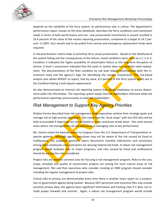

depends on the reliability of the ferry system, its performance also is critical. The department's performance report, known as the Grey Notebook, describes the ferry conditions and investment needs in terms of both performance and risk. Low preservation investments in vessels resulted in 33.4 percent of the value of the vessels requiring preservation, compared to a target of 24.7 percent. In 2007, four vessels had to be pulled from service and emergency replacement funds were required. 

A risk-prioritization matrix helps to prioritize ferry vessel preservation. Based on the likelihood of the system failing and the consequences of the failure, vessel conditions were rated as a 1, 2 or 3. Condition 3 indicated the higher possibility of catastrophic failure or the long-term disruption of service. A level 1 assessment indicated that the asset or system does not currently need replacement. The documentation of the fleet condition by risk level helped communicate both the investment need and the agency's logic for identifying the needed investments. The risk-based analysis also allows WSDOT to report, that by value, 8.3 percent of the ferry system assets are in the Condition Rating 3 and require replacement.

He also demonstrated an internal risk reporting system that allows employees to access department-wide-risk information. The reporting system keeps internal stakeholders informed while the performance reporting communicates to external stakeholders.

## *Risk Management to Support Key Agency Priorities*

Shobna Varma described how risk management helps executives achieve their strategic goals and manage risk to high priority objectives. She noted that the "buck stops" with the CEO who will be held accountable if objectives are not achieved or major processes break down. She cited several areas where risk management can aid executives in managing risks to key performance.

Ms. Varma noted the biennial report to Congress from the U.S. Department of Transportation inspector general. Although agency executives may not be aware of the risk caused by fraud or malfeasance, the inspector general's report documents monthly indictments and convictions among **Stat**e employees and contractors for abusing Federal-aid funds. A robust risk management program would evaluate risks to major programs, and risks caused by fraud and malfeasance should be among the risks considered.

Project risks are another common area for focusing a risk management program. Risks to the cost, scope, schedule and quality of construction projects are among the most mature areas of risk management. She said that executives who consider creating an ERM program should consider including the regular management of project risks.

Critical risks to privacy are demonstrated every time there is another news report on a corporation or government agency being hacked. Because DOT personnel and insurance files may include sensitive privacy data, the agency faces significant information and hacking risks if it does not include proper firewalls and controls. Again, a robust risk management program would include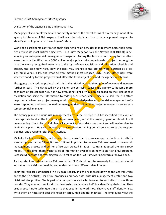

evaluation of the agency's data and privacy risks.

Managing risks to employee health and safety is one of the oldest forms of risk management. If an agency institutes an ERM program, it will want to include a robust risk-management program to identify and mitigate risks to employees' safety.

Workshop participants contributed their observations on how risk management helps their agencies achieve its most critical objectives. CEO Rudy Malfabon said the Nevada DOT (NDOT) is developing an enterprise risk management program. Among the factors contributing to the effort were the risks identified for a \$500 million major public-private-partnership project. Among the risks the agency recognized were risks to the right-of-way acquisition and relocation schedule and budget, the cash flow risks, how the risks may change if the project were pursued as a design/build versus a P3, and what delivery method most reduced NDOT risks. Other risks were whether bonding for the project would affect the total project cost and the agency's cash flow.

The agency analyzed the project's risks, including risk that expensive rights-of-way would increase further in cost. The risk faced by the higher project costs caused the agency to become more cognizant of project cost risk. It is now evaluating right-of-way parcels based on their risk of cost escalation and using the information to redesign, or reconsider, projects. He said the risk effort began small when one project manager who was knowledgeable with one risk management software stepped up and took the lead on managing risks. Now, that project manager is serving as a temporary risk manager.

The agency plans to pursue risk management across the enterprise. It has identified risk levels at the corporate level, at the functional/department level, and at the project/operations level. It will be evaluating risks to its capital plan, will conduct a global risk assessment and will review risks to its financial plans. He said the agency plans to provide training on risk policies, roles and responsibilities, and available reference materials.

Michelle Tucker of Caltrans said officials try to make the risk process approachable so it calls its standard presentation, "Risky Business." It was important to the new Caltrans board to have a risk management process and so her office was created in 2013. Caltrans adopted the ISO 31000 model. At the time, there wasn't a lot of information available on how to start an ERM program. Because Minnesota and Washington DOTs relied on the ISO framework, California followed suit.

An important consideration for Caltrans is that ERM should not be narrowly focused but should look at as many risks as possible, and understand how different risks interact.

Their top risks are summarized in a 50 page report, and the risks break down to the Central Office and to the 12 districts. Her office produces a primary enterprise risk management profile and two divisional risk profiles. She is part of a two-person staff who traveled to each district over three months. They met with senior district leadership and spent a half day identifying their risks. They used a post it note technique similar to that used in the workshop. They have staff identify risks, write them on notes and post the notes on large, map-size risk matrices. The employees view the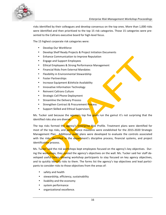

risks identified by their colleagues and develop consensus on the top ones. More than 1,000 risks were identified and then prioritized to the top 15 risk categories. Those 15 categories were presented to the Caltrans executive board for high-level focus.

The 15 highest corporate risk categories were:

- Develop Our Workforce
- Develop Shelf Ready Projects & Project Initiation Documents
- Enhance Communication to Improve Reputation
- Engage and Support Employees
- Ethical Employees & Strong Performance Management
- Financial Risks from External Mandates
- Flexibility in Environmental Stewardship
- Foster Partnerships
- Increase Equipment & Vehicle Availability
- Innovative Information Technology
- Reinvent Caltrans Culture
- Strategic Cell Phone Deployment
- Streamline the Delivery Process
- Strengthen Contract & Procurement Process
- Support Skilled and Ethical Supervisors

Ms. Tucker said because the agency's top five goals run the gamut it's not surprising that the identified risks also are diverse.

The top risks formed the agency's Enterprise Risk Profile. Treatment plans were identified for most of the top risks, and performance measures were established for the 2015-2020 Strategic Management Plan. Additional audit plans were developed to evaluate the controls associated with the risks identified in the department's discipline process, financial systems, and project identification process.

Ms. Tucker said the risk workshops kept employees focused on the agency's key objectives. During the workshops, they posted the agency's objectives on the wall. Ms. Tucker said her staff developed useful forms allowing workshop participants to stay focused on key agency objectives, and to quickly identify risks to them. The forms list the agency's top objectives and lead participants to consider risks to those objectives from the areas of:

- safety and health
- stewardship, efficiency, sustainability
- livability and the economy
- system performance
- organizational excellence.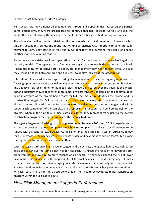

#### *Enterprise Risk Management Briefing Paper*

Ms. Tucker said they emphasize that risks are threats and opportunities. Based on the participants' perspective, they were predisposed to identify either risks or opportunities. She said the audit office identified only threats while the public affairs office identified only opportunities.

She said while the first rounds of risk-identification workshops took three months, it may take less time in subsequent rounds. She found that visiting all districts was important to generate commitment to ERM. They started in May and by October they had identified their risks, and spent another month developing reports.

To become a more risk-conscious organization, she said Caltrans wants to compare itself against a maturity model. The agency has a five year strategic plan to reach the optimized risk level. Among the maturity objectives are to deploy risk management down to the front lines. She said they learned it takes between three and five years to deploy risk across the organization.

John Milton illustrated the concept of using risk management to support agency objectives by focusing upon how WSDOT uses risk management to achieve its project and program objectives. The agency's risk for on-time, on-budget project delivery increased over the years as the Washington Legislature moved to identify more major projects through line items in the agency budget. Years in advance of the project being ready for bid, the Legislature identifies the project and its construction budget. Mr. Milton used a chart to illustrate the many interconnected activities that all must be coordinated in order for a project to be delivered on time, on budget and within scope. Each component of the complex chart represents a function that could create risk for the project. When all the risks to all projects are considered, they represent many risks to the overall construction program the Legislature wants the agency to deliver.

The agency began emphasizing risk management when between 2001 and 2011 it experienced a 48 percent erosion in purchasing power, which disrupted plans to deliver a set of projects to be funded with a 5 cent fuel tax increase. At the same time, the State's ferry system struggled to pay for fuel increases. The agency was achieving its bridge and pavement condition targets but asking the Legislature for more money to sustain them.

With the Legislature unwilling to lower targets and objectives, the agency had to use risk-based decisions to achieve the same objectives for less cost. It shifted the focus of its pavement program from hot mix overlays to more reliance on chip seals. The agency balanced the risk of lower pavement performance with the opportunity of the cost savings. He said the agency still faces risks, such as hundreds of miles of aging concrete pavements that eventually must be replaced. However, to date its focus on managing risk has allowed it to achieve higher pavement conditions with less cost. It also can more accurately predict the risks to achieving its major construction program within the Legislative limits.

#### *How Risk Management Supports Performance*

Early in the workshop the connection between risk management and performance management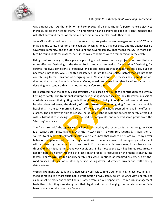

was emphasized. As the ambition and complexity of an organization's performance objectives increase, so do the risks to them. An organization can't achieve its goals if it can't manage the risks that surround them. As objectives become more complex, so do their risks.

John Milton discussed how risk management supports performance management at WSDOT, emphasizing the safety program as an example. Washington is a litigious state and the agency has no sovereign immunity, and the State has joint and several liability. That means the DOT is more likely to be found liable for crashes, even if roadway conditions were a minor factor in the crash.

Using risk-based analysis, the agency is pursuing small, less-expensive projects but ones that are more effective. Designing to the Green Book standards can lead to "over design." Designing for optimal roadway conditions is expensive and it addresses crashes that can be possible, but not necessarily probable. WSDOT shifted its safety program focus to isolate factors that are probable contributing factors. Instead of designing for a 20 year horizon, it focuses safety funds on addressing the narrow, immediate factors. Money saved can be used on other locations, rather than designing to a standard that may not produce safety results.

He illustrated how the agency used statistical, risk-based analysis of the contribution of highway lighting to safety. The traditional assumption is that lighting reduces crashes. However, analysis of crash data showed that lighting made little difference in twilight conditions of dawn and dusk. In heavily urbanized areas, the density of traffic created adequate lighting from the many vehicle headlights. In the early morning hours, traffic was thin and lighting seemed to have little effect on crashes. The agency was able to reduce the hours of lighting without noticeable safety effect but with substantial cost savings. It has received no complaints, and received some praise from the "dark sky" advocates.

The "risk threshold" the agency sets will be determined by the resources it has. Although WSDOT is a "target zero" State (aligning with the FHWA vision "Toward Zero Deaths"), it lacks the resources to eliminate all risk factors. Also executives know that crashes often are caused by driver behavior independent of the roadway conditions. How much crash risk an agency must accept will be driven by the resources it can direct. If it has substantial resources, it can have a low threshold and mitigate more roadway conditions. If like most agencies, it has limited resources, it has to tolerate a higher threshold of crash risk and focus its resources on the highest contributing factors. For WSDOT, its top priority safety risks were identified as impaired drivers, run-off-theroad crashes, intersection related, speeding, young drivers, distracted drivers and traffic safety data systems.

WSDOT like many states found it increasingly difficult to find traditional, high-crash locations. Instead, it moved to a more sustainable, systematic highway safety policy. WSDOT views safety not as an absolute black and white line but rather from a risk perspective. From a risk management basis they think they can strengthen their legal position by changing the debate to more factbased analysis on the causative factors.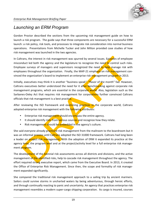#### *Launching an ERM Program*

Gordon Proctor described the sections from the upcoming risk management guide on how to launch a risk program. The guide says that three components are necessary for a successful ERM launch: a risk policy, risk tools, and processes to integrate risk consideration into normal business operations. Presentations from Michelle Tucker and John Milton provided case studies of how risk management was launched in the two agencies.

In Caltrans, the interest in risk management was spurred by several issues. Episodes of employee misconduct led both the agency and the legislature to recognize the need to control such risks. Employee surveys of managers and supervisors recognized the need to help manage risk with employees throughout the organization. Finally, the MAP-21 emphasis on risk management convinced the organization's board to implement an enterprise risk management program in 2013.

Initially, executives may think it is another "business speak", "flavor of the month" fad. However, Caltrans executives better understood the need for it after benchmarking against corporate risk management programs, which are essential in the corporate world. Also, legislation such as the Sarbanes-Oxley Act that requires risk management for corporations further convinced Caltrans officials that risk management is a best practice.

After reviewing the ISO framework and examining practices in the corporate world, Caltrans adopted enterprise risk management with the **following attributes:** 

- Enterprise risk management should encompass the entire agency.
- It should identify risks from various sources and recognize how they relate.
- Risk management should be embedded in the agency's culture.

She said everyone already practiced risk management from the mailroom to the boardroom but it was an informal process until Caltrans adopted the ISO 31000 framework. Caltrans had long been a leader on project risk management. With the adoption of ERM it expanded its practice at the agency level, the program level and at the project/activity level for a full enterprise risk management program.

The development of the *biennial risk* assessments across all districts and divisions, and the active management of the identified risks, help to cascade risk management throughout the agency. The effort required strong executive report, which came from the Executive Board. In 2013, it created the Office of Enterprise Risk Management. Since then, the scope and formality of risk management expanded significantly.

She compared the traditional risk management approach to a sailing trip by ancient mariners. Sailors could survive storms in uncharted waters by being adventurous, through heroic efforts, and through continually reacting to panic and uncertainty. An agency that practices enterprise risk management resembles a modern super-cargo shipping corporation. Its cargo is insured, courses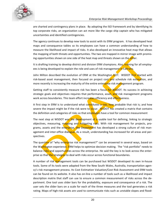

are charted and contingency plans in place. By adopting the ISO framework and by identifying its top corporate risks, an organization can act more like the cargo ship captain who has mitigated uncertainties and identified contingencies.

The agency continues to develop new tools to assist with its ERM program. It has developed heat maps and consequence tables so its employees can have a common understanding of how to measure the likelihood and impact of risks. It also developed an innovative heat map that allows the mapping of both threats and opportunities. The two are mapped in mirror image with promising opportunities shown on one side of the heat map and threats shown on the other.

It is drafting training to develop district and division ERM champions. Also, training for all employees is being developed to explain the role and uses of risk management in Caltrans.

John Milton described the evolution of ERM at the Washington DOT. WSDOT first started with risk-based asset management, then focused on project cost and schedule risk estimation, and more recently is increasing the maturity of the entire enterprise risk management program.

Getting staff to consistently measure risk has been a focus for WSDOT. Its success in achieving strategic goals and objectives requires that performance, asset, and risk management programs work across boundaries. This team effort increases efficiency and effectiveness.

A first step in ERM is to understand what constitutes a risk; how probable that risk is; and how severe the impact might be if the risk were to **occur.** WSDOT has created a matrix that contains the definition and categories of risks so that employees have a tool for common measurement

The next step at WSDOT was the development of a usable tool for defining, linking to strategic objectives, measuring, mapping and mitigating risks. With risk management for projects, programs, assets and the enterprise, the Department has developed a strong culture of risk management and inter-office dialogue. As a result, understanding has increased for all areas and perspectives.

The question of "why enterprise risk management?" can be answered in several ways, based on the Washington experience. ERM helps to optimize decision making. The "risk portfolio" needs to balance risks and opportunities across the enterprise. He said the key is to look across the enterprise so that the strategies to deal with risks occur across functional boundaries.

A number of risk management tools can be purchased but WSDOT developed its own in-house tools. Some of its tools were adapted from the New South Wales, Australia, transportation agency's risk management process. Its Cost Estimation Valuation/Cost Risk Assessment and ERM tools can be found on its website. It also has on-line a number of tools such as a likelihood and impact description matrix that staff can use to ensure a common measurement of risks across the department. One tool uses slider bars for the probability, exposure and consequence of a risk. The user sets the slider bars on a scale for each of the three measures and the tool generates a risk rating. Maps of high-risk assets are used to communicate risks such as unstable slopes and flood-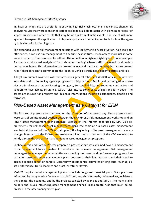

#### *Enterprise Risk Management Briefing Paper*

ing hazards. Maps also are useful for identifying high-risk crash locations. The climate change risk analysis results that were mentioned earlier are kept available to assist with planning for repair of slopes, culverts and other assets that may be at risk from climatic events. The use of risk management to expand the application of chip seals provides communication tools for how the agency is dealing with its funding crisis.

The expanded use of risk management coincides with its tightening fiscal situation. As it looks for efficiencies, it can use risk management to fine tune expenditures. It can accept more risk in some areas in order to free resources for others. The reduction in highway lighting is just one example. Another is a risk-based analysis of "hard shoulder running" where traffic is allowed on shoulders during peak hours. This alternative can create savings and improved mobility but it also creates risks if shoulders can't accommodate the loads, or vehicles crash into adjacent barriers and rails.

A legal risk summit was held with the attorney's general office and WSDOT officials to view key legal risks and to discuss key agency programs to mitigate them. Traditional risk mitigation strategies are in place such as self-insuring the agency for tort liability, and requiring contractors and vendors to have liability insurance. WSDOT also insures some of its bridges and ferry boats. The assets are insured for property and business interruptions including earthquakes, flooding and terrorism.

#### *Risk-Based Asset Management as a Catalyst for ERM*

The final set of presentations occurred on the afternoon of the second day. These presentations were part of an intentional overlap between the NCHRP CEO risk management workshop and an FHWA asset management peer exchange. Because of the interest generated by MAP-21's requirements for risk-based asset management plans, the topic of risk-based asset management was held at the end of the CEO workshop and the beginning of the asset management peer exchange. Members of the FHWA peer exchange joined the last sessions of the CEO workshop to jointly discuss the use of risk management in asset management programs.

Shobna Varma and Gordon Proctor prepared a presentation that explained how risk management is the complement to and enabler for asset and performance management. Risk management helps agencies manage the uncertainties surrounding their asset and performance programs. Uncertainty surrounds asset management plans because of their long horizons, and their need to achieve specific condition targets. Uncertainty accompanies estimates of long-term revenue, asset performance, traffic loadings and asset investment levels.

MAP-21 requires asset management plans to include long-term financial plans. Such plans are influenced by many outside factors such as inflation, stakeholder needs, policy makers, legislators, the climate, the economy, and by the projects selected by agencies and MPOs. The many stakeholders and issues influencing asset management financial plans create risks that must be addressed in the asset management plan.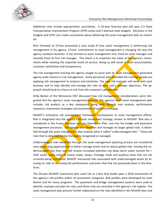

Additional risks include appropriation uncertainty. A 10-year financial plan will span 2.5 State Transportation Improvement Program (STIP) cycles and 5 biennial state budgets. Decisions in the budgets and STIPs can create uncertainty about delivering the asset management plan as intended.

Rich Tetreault of VTrans presented a case study of how asset management is reinforcing risk management in his agency. VTrans' commitment to asset management is changing the way the agency conducts business. It has formed an asset management unit, hired an asset manager and recently hired its first risk manager. The intent is to maximize the value of the agency's investments while meeting the expected levels of service. Doing so will result in fiscal accountability, customer satisfaction and transparency.

The risk management training the agency sought to assist with its asset management generated agency-wide interest in risk management. Some personnel who attended the training already are applying risk management to projects and initiatives. The new risk manager will work with each business unit to help identify and manage the risks to each unit's strategic objectives. The approach should lead to a focus on risk from the customer's perspective.

Kirby Becker of the Minnesota DOT discussed how risk management considerations were integrated into the agency's asset management process. The agency's draft asset management plan includes risk analysis as a key component along with lifecycle cost analysis, performance measures, investment strategies and assessment of performance gaps.

MnDOT's enterprise risk management framework encompasses its asset management efforts. Risk is integrated into the agency's 20-year investment strategy, known as MnSHIP. Risk also is considered in the 4-year Highway Systems Operations Plan, and into the bridge and pavement management processes. The agency also identifies and manages its larger global risks. It identified through the asset management plan analysis what it called "undermanaged risks." Those are risks that to date had not be thoroughly recognized or managed.

Undermanaged risks identified through the asset management planning process are considered ones presenting opportunities to better manage assets and to reduce global risks. Among the undermanaged risks that now will receive increased attention are deep storm water tunnels for I-35W south, many miles of access roads, ramps, frontage roads and auxiliary lanes that are not currently being monitored. MnDOT uncovered risks associated with undermanaged assets by focusing on risks to achieving the performance outcomes that had not previously been in the forefront.

The 20-year MnSHIP investment plan used risk as a lens that builds upon a 2010 assessment of the agency's risk profiles within 10 investment categories. Risk profiles were developed for each district and for many programs. The pavement and bridge management systems were used to identify, evaluate and plan for risks, and those risks are recorded in the agency's risk register. The asset management plan process further elaborated on the risks identified in the MnSHIP plan and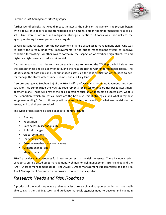

#### *Enterprise Risk Management Briefing Paper*

further identified risks that would impact the assets, the public or the agency. The process began with a focus on global risks and transitioned to an emphasis upon the undermanaged risks to assets. Risks were prioritized and mitigation strategies identified. A focus was upon risks to the agency achieving its asset performance targets.

Several lessons resulted from the development of a risk-based asset management plan. One was to justify the already-underway improvements to the bridge management system to improve condition forecasting. Another was to formalize the inspection of overhead sign structures and high-mast light towers to reduce failure risk.

Another lesson was that the reliance on existing data to develop the TAMP provided insight into the completeness and reliability of data, and the risks associated with undermanaged assets. The identification of data gaps and undermanaged assets led to the identification of the need to better manage the storm water tunnels, ramps, and auxiliary lanes.

Also presenting was Stephen Gaj of the FHWA Office of Asset Management, Pavements and Construction. He summarized the MAP-21 requirements for **States** to develop risk-based asset management plans. Those will answer the basic questions such as what assets do States own, what is their condition, which are critical, what are the best investment strategies, and what is my best long-term funding? Each of those questions raise the further question of what are the risks to the assets, and to their preservation?

The types of risks agencies could expect to identify include:

- Funding
- Reputation
- Data accessibility and quality
- Political changes
- Global conditions
- Leadership changes
- **Extreme** weather and storm events
- **Climatic change, and**
- Many others.

FHWA provides many resources for States to better manage risks to assets. These include a series of reports on risk-based asset management, webinars on risk management, NHI training, and the AASHTO asset management guide. The AASHTO Asset Management Subcommittee and the TRB Asset Management Committee also provide resources and expertise.

#### *Research Needs and Risk Roadmap*

A product of the workshop was a preliminary list of research and support activities to make available to DOTs the training, tools, and guidance materials agencies need to develop and maintain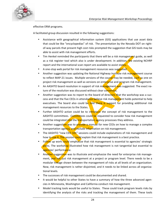

effective ERM programs.

A facilitated group discussion resulted in the following suggestions:

- Assistance with geographical information system (GIS) applications that use asset data that could be like "encyclopedias" of risk. The presentation by the Nevada DOT on rightof-way parcels that present high cost risks prompted the suggestion that GIS tools may be able to assist with risk management efforts.
- Tim Henkel reminded the participants that there will be a risk management guide, as well as a risk register tool which also is under development. In addition, the existing NCHRP report and the international scan report are available to assist states.
- A one-stop web portal for risk management resources was suggested.
- Another suggestion was updating the National Highway Institute risk management course to reflect MAP-21 issues. Multiple versions of the course may be needed, such as one on project risk management as well as versions on enterprise and program risk management.
- An AASHTO board resolution in support of risk management was suggested. The exact nature of the resolution was discussed without clear consensus.
- Another suggestion was to report to the board of directors that the workshop was a success and that the five CEOs in attendance believe risk management holds potential to help executives. The board also could be told there is support for providing additional risk management resources to the States.
- Further AASHTO action could be to introduce the concept of risk management to the AASHTO committees. Committees could be requested to consider how risk management could be integrated into the transportation agency processes they address.
- Another suggestion was to provide a manual for new CEOs on how to manage a complex transportation agency, and include information on risk management.
- The AASHTO "new CEO 101" sessions could include explanations of risk management and how to use it. The session could explain that risk management is a best practice.
- Follow up work could emphasize that risk management is essential to agencies' strategic plans. The workshop illustrated how risk management is not tangential but essential to agencies' performance.
- Another suggestion was to illustrate and emphasize the need for enterprise risk management, and not just risk management at a project or program level. There needs to be a modular linkage shown between the management of risks at all levels of an organization. Now, risk management is rather disjointed, and it needs to be linked across all organizational levels.
- The successes of risk management could be documented and shared.
- It would be helpful to other States to have a summary of how the three advanced agencies in Minnesota, Washington and California conduct risk management.
- Model tracking tools would be useful to States. These could track program levels risks by identifying the analysis of the risks and tracking the management of them. These tools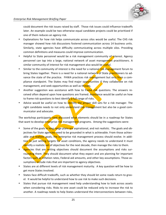could document the risk issues raised by staff. Those risk issues could influence tradeoffs later. An example could be two otherwise equal candidate projects could be prioritized if one of them reduces an agency risk.

- Explanations for how risk helps communicate across silos would be useful. The CHS risk manager showed how risk discussions fostered communication across 14 business units. Similarly, state agencies have difficulty communicating across multiple silos. Providing common definitions and measures could improve communication.
- Helpful to State personnel would be a risk management community of interest. Agency personnel can tap into a large, national network of asset management practitioners. A similar community of interest for risk management also would be *useful*.
- Similar to the community of interest is the need for a national risk management forum to bring States together. There is a need for a national network of State practitioners to advance the state of the practice. FHWA practices risk management but only from a compliance standpoint. The States may find major opportunities if they collaborate on risk management, and seek opportunities as well as threats.
- Another suggestion was assistance with how to frame risk questions. The answers received often depend upon how questions are framed. Assistance would be useful on how to frame risk questions to best identify a full range of risks.
- Advice would be useful on how to identify the proper skill sets for a risk manager. The right candidate needs to not only understand risk management but also be a good communicator and advocate.

The workshop participants next discussed what elements should be in a roadmap for States that want to develop enterprise risk management programs. Among the suggestions were:

- Some of the goals in long range plans are aspirational, and not realistic. The goals and objectives for State agencies need to be grounded in what is achievable. From those achievable and realistic goals, the enterprise risk management process should evolve. In addition to just setting targets for asset conditions, the agency needs to understand it must **ide**ntify a realistic set of objectives for the next decade, then manage the risks to them.
- Agencies that are setting objectives should document the assumptions and risks surrounding them. They should document what they expect and are planning for important factors such as inflation rates, Federal-aid amounts, and other key assumptions. Those assumptions include risks that are important to agency objectives.
- States are at different levels of risk management maturity. A key question will be how to get more States involved.
- States face difficult tradeoffs, such as whether they should let some roads return to gravel. It would be helpful to understand how to use risk to make such decisions.
- States that pursue risk management need help understanding how to look across assets when considering risks. Risks to one asset could be reduced only to increase the risk to another. A roadmap needs to help States understand the interconnections between risks,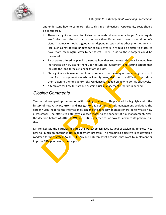

and understand how to compare risks to dissimilar objectives. Opportunity costs should be considered.

- There is a significant need for States to understand how to set a target. Some targets are "pulled from the air" such as no more than 10 percent of assets should be deficient. That may or not be a good target depending upon what other priorities are critical, such as retrofitting bridges for seismic events. It would be helpful to States to have more meaningful ways to set targets. Then, risks to those targets could be measured.
- Participants offered help in documenting how they set targets. Methods included basing targets on risk, basing them upon return-on-investment, and setting targets that indicate the long-term sustainability of the asset.
- State guidance is needed for how to reduce to a meaningful few a lengthy lists of risks. Risk management workshops identify many risks but it is difficult to prioritize them down to the top agency risks. Guidance is needed on how to do this effectively.
- A template for how to start and sustain a risk management program is needed.

## *Closing Comments*

Tim Henkel wrapped up the session with closing comments. He prefaced his highlights with the history of how AASHTO, FHWA and TRB got to this point in the risk management evolution. The earlier NCHRP reports, the international scan and the advocacy of practitioners led to what is now a crossroads. The efforts to date have exposed states to the concept of risk management. Now, the decision before AASHTO, FHWA and TRB is whether to, or how to, advance its practice further.

Mr. Henkel said the participants agree the workshop achieved its goal of explaining to executives how to launch an enterprise risk management program. The remaining objective is to develop a roadmap for how States, AASHTO, FHWA and TRB can assist agencies that want to implement or improve ERM practices in their agency.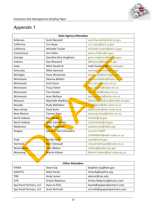

**COMPANY** 

# *Appendix 1*

| <b>State Agency Attendees</b> |                        |                               |  |  |
|-------------------------------|------------------------|-------------------------------|--|--|
| Arkansas                      | <b>Scott Bennett</b>   | scott.bennett@ahtd.ar.gov     |  |  |
| California                    | Cris Rojas             | cris.rojas@dot.ca.gov         |  |  |
| California                    | Michelle Tucker        | michelle.tucker@dot.ca.gov    |  |  |
| Connecticut                   | Jim Fallon             | James.Fallon@ct.gov           |  |  |
| Georgia                       | Genetha Rice-Singleton | grice-singleton@dot.ga.gov    |  |  |
| Indiana                       | Dan Brassard           | DBrassard@indot.in.gov        |  |  |
| lowa                          | <b>Matt Haubrich</b>   | matt.haubrich@dot.iowa.gov    |  |  |
| Kentucky                      | Mike Hancock           | michael.hancock@ky.gov        |  |  |
| Michigan                      | Dave Wresenski         | wresinskid@michigan.gov       |  |  |
| Minnesota                     | Deanna Belden          | deanna.belden@state.mn.us     |  |  |
| Minnesota                     | <b>Erick Davis</b>     | eric.davis@state.mn.us        |  |  |
| Minnesota                     | <b>Tracy Hatch</b>     | tracy.hatch@state.mn.us       |  |  |
| Minnesota                     | <b>Tim Henkel</b>      | tim.henkel@state.mn.us        |  |  |
| Minnesota                     | Jean Wallace           | jean.wallace@state.mn.us      |  |  |
| Missouri                      | Machelle Watkins       | Machelle watkins@modot.mo.gov |  |  |
| Nevada                        | Rudy Malfabon          | rmalfabon@dot.state.nv.us     |  |  |
| New Jersey                    | Dave Kuhn              | david.kuhn@dot.state.nj.us    |  |  |
| <b>New Mexico</b>             | Tammy Haas             | tamarap.haas@state.nm.us      |  |  |
| North Dakota                  | <b>Ron Henke</b>       | rhenke@nd.gov                 |  |  |
| North Dakota                  | Scott Zainhofsky       | szainhofsky@nd.gov            |  |  |
| Oklahoma                      | <b>Mike Patterson</b>  | mpatterson@odot.org           |  |  |
| Oregon                        | Lea Ann Hart-Chambers  | Lea.Ann.HART-                 |  |  |
|                               |                        | CHAMBERS@odot.state.or.us     |  |  |
| Utah                          | <b>Randy Park</b>      | rpark@utah.gov                |  |  |
| Vermont                       | <b>Rich Tetreault</b>  | richard.tetreault@state.vt.us |  |  |
| Washington                    | John Milton            | miltonj@wsdot.wa.gov          |  |  |
| Wyoming                       | Martin Kidner          | Martin.kidner@dot.state.wy.us |  |  |

| <b>Other Attendees</b> |                  |                              |  |  |
|------------------------|------------------|------------------------------|--|--|
| <b>FHWA</b>            | Steve Gaj        | Stephen.Gaj@dot.gov          |  |  |
| <b>AASHTO</b>          | Matt Hardy       | mhardy@aashto.org            |  |  |
| <b>TRB</b>             | Andy Lemer       | alemer@nas.edu               |  |  |
| <b>CHS</b>             | Kristin Rebertus | Kristin.Rebertus@chsinc.com  |  |  |
| Spy Pond Partners, LLC | Hyun-A Park      | hpark@spypondpartners.com    |  |  |
| Spy Pond Partners, LLC | Scott Richrath   | sricrath@spypondpartners.com |  |  |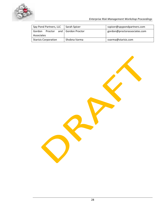

*Enterprise Risk Management Workshop Proceedings* 

| Spy Pond Partners, LLC      | Sarah Spicer         | sspicer@spypondpartners.com  |
|-----------------------------|----------------------|------------------------------|
| Proctor<br>Gordon           | and   Gordon Proctor | gordon@proctorassociates.com |
| Associates                  |                      |                              |
| <b>Starisis Corporation</b> | Shobna Varma         | svarma@starisis.com          |